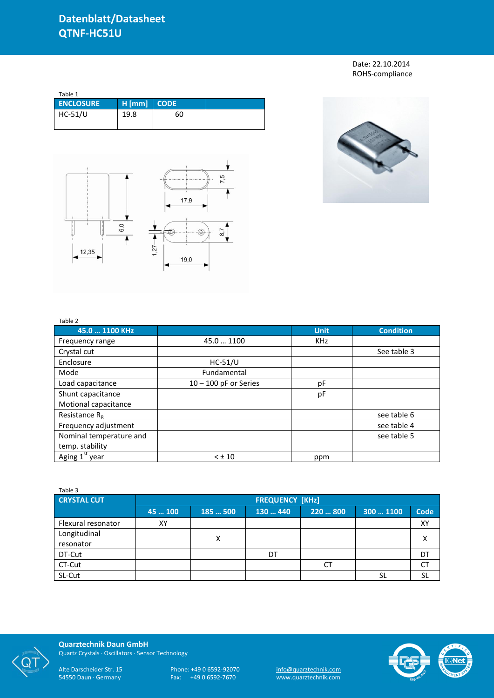Date: 22.10.2014 ROHS-compliance

| Table 1          |          |             |  |
|------------------|----------|-------------|--|
| <b>ENCLOSURE</b> | $H$ [mm] | <b>CODE</b> |  |
| $HC-51/U$        | 19.8     | 60          |  |
|                  |          |             |  |





## Table 2

| 45.0  1100 KHz             |                         | <b>Unit</b> | <b>Condition</b> |
|----------------------------|-------------------------|-------------|------------------|
|                            |                         |             |                  |
| Frequency range            | 45.0  1100              | <b>KHz</b>  |                  |
| Crystal cut                |                         |             | See table 3      |
| Enclosure                  | $HC-51/U$               |             |                  |
| Mode                       | Fundamental             |             |                  |
| Load capacitance           | $10 - 100$ pF or Series | pF          |                  |
| Shunt capacitance          |                         | pF          |                  |
| Motional capacitance       |                         |             |                  |
| Resistance $R_R$           |                         |             | see table 6      |
| Frequency adjustment       |                         |             | see table 4      |
| Nominal temperature and    |                         |             | see table 5      |
| temp. stability            |                         |             |                  |
| Aging 1 <sup>st</sup> year | $< \pm 10$              | ppm         |                  |

| Table 3            |                        |        |          |           |           |             |  |
|--------------------|------------------------|--------|----------|-----------|-----------|-------------|--|
| <b>CRYSTAL CUT</b> | <b>FREQUENCY [KHz]</b> |        |          |           |           |             |  |
|                    | 45  100                | 185500 | 130  440 | 220  800  | 300  1100 | <b>Code</b> |  |
| Flexural resonator | XY                     |        |          |           |           | XY          |  |
| Longitudinal       |                        | X      |          |           |           |             |  |
| resonator          |                        |        |          |           |           |             |  |
| DT-Cut             |                        |        | DT       |           |           | DT          |  |
| CT-Cut             |                        |        |          | <b>CT</b> |           | CT          |  |
| SL-Cut             |                        |        |          |           |           | <b>SL</b>   |  |



**Quarztechnik Daun GmbH** Quartz Crystals · Oscillators · Sensor Technology

Alte Darscheider Str. 15 Phone: +49 0 6592-92070 <u>info@quarztechnik.com</u> 54550 Daun · Germany Fax: +49 0 6592-7670 www.quarztechnik.com